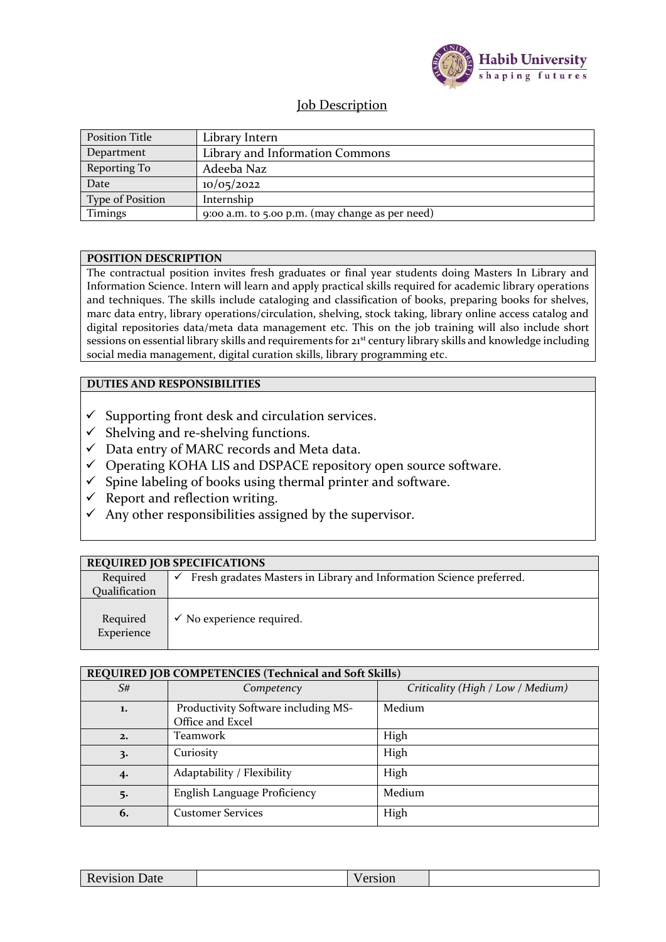

## Job Description

| <b>Position Title</b> | Library Intern                                  |
|-----------------------|-------------------------------------------------|
| Department            | Library and Information Commons                 |
| Reporting To          | Adeeba Naz                                      |
| Date                  | 10/05/2022                                      |
| Type of Position      | Internship                                      |
| Timings               | 9:00 a.m. to 5.00 p.m. (may change as per need) |

## **POSITION DESCRIPTION**

The contractual position invites fresh graduates or final year students doing Masters In Library and Information Science. Intern will learn and apply practical skills required for academic library operations and techniques. The skills include cataloging and classification of books, preparing books for shelves, marc data entry, library operations/circulation, shelving, stock taking, library online access catalog and digital repositories data/meta data management etc. This on the job training will also include short sessions on essential library skills and requirements for 21<sup>st</sup> century library skills and knowledge including social media management, digital curation skills, library programming etc.

## **DUTIES AND RESPONSIBILITIES**

- $\checkmark$  Supporting front desk and circulation services.
- $\checkmark$  Shelving and re-shelving functions.
- $\checkmark$  Data entry of MARC records and Meta data.
- ✓ Operating KOHA LIS and DSPACE repository open source software.
- $\checkmark$  Spine labeling of books using thermal printer and software.
- $\checkmark$  Report and reflection writing.
- $\checkmark$  Any other responsibilities assigned by the supervisor.

|                        | <b>REQUIRED JOB SPECIFICATIONS</b>                                   |
|------------------------|----------------------------------------------------------------------|
| Required               | Fresh gradates Masters in Library and Information Science preferred. |
| Qualification          |                                                                      |
| Required<br>Experience | $\checkmark$ No experience required.                                 |

|    | REQUIRED JOB COMPETENCIES (Technical and Soft Skills)   |                                   |
|----|---------------------------------------------------------|-----------------------------------|
| S# | Competency                                              | Criticality (High / Low / Medium) |
| 1. | Productivity Software including MS-<br>Office and Excel | Medium                            |
| 2. | Teamwork                                                | High                              |
| 3. | Curiosity                                               | High                              |
| 4. | Adaptability / Flexibility                              | High                              |
| 5. | English Language Proficiency                            | Medium                            |
| 6. | <b>Customer Services</b>                                | High                              |

| vision Date<br>$\sim$ | $-1$<br>w |
|-----------------------|-----------|
|-----------------------|-----------|